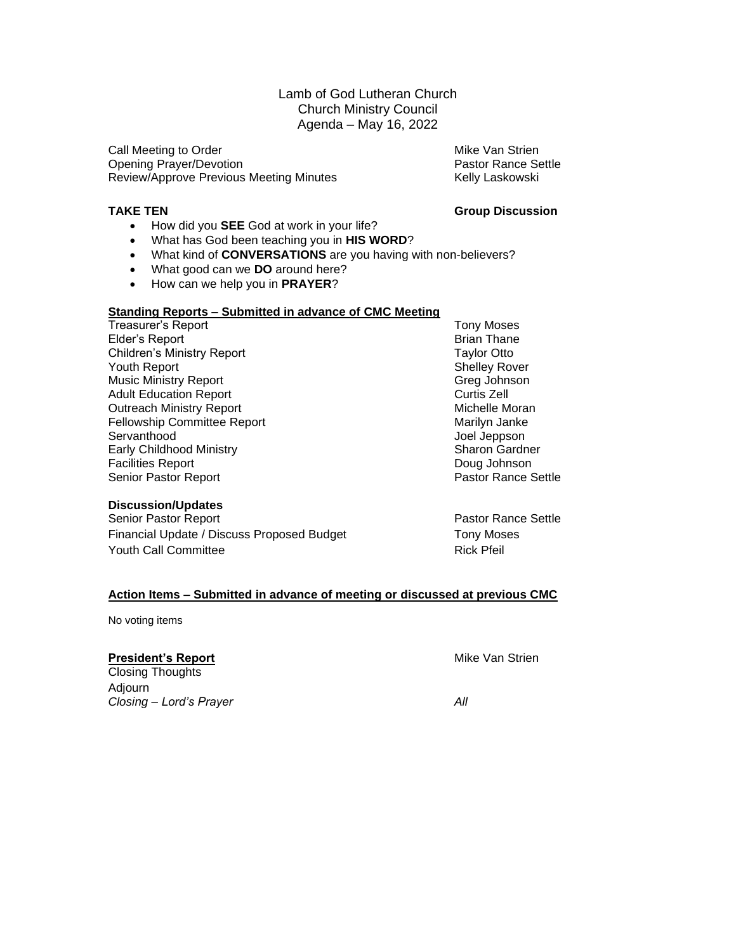### Lamb of God Lutheran Church Church Ministry Council Agenda – May 16, 2022

Call Meeting to Order Mike Van Strien Opening Prayer/Devotion **Pastor Rance Settle** Pastor Rance Settle Review/Approve Previous Meeting Minutes Kelly Laskowski

#### **TAKE TEN Group Discussion**

- How did you **SEE** God at work in your life?
- What has God been teaching you in **HIS WORD**?
- What kind of **CONVERSATIONS** are you having with non-believers?
- What good can we **DO** around here?
- How can we help you in **PRAYER**?

#### **Standing Reports – Submitted in advance of CMC Meeting**

Treasurer's Report **Treasurer's Report** Account Convention Convention Convention Convention Convention Convention Elder's Report **Brian Thane** Children's Ministry Report Taylor Otto Youth Report **Shelley Rover** Shelley Rover Music Ministry Report **Greg Johnson** Adult Education Report **Adult Education Report** Curtis Zell<br>
Outreach Ministry Report **Curris 2006** Michelle Moran **Outreach Ministry Report** Fellowship Committee Report **Marilyn Janke** Marilyn Janke Servanthood<br>
Early Childhood Ministry<br>
Early Childhood Ministry<br>
Childhood Ministry<br>
Childhood Ministry<br>
Childhood Ministry<br>
Childhood Ministry<br>
Childhood Ministry<br>
Childhood Ministry<br>
Childhood Ministry<br>
Childhood Ministr Early Childhood Ministry Facilities Report **Contract Contract Contract Contract Contract Contract Contract Contract Contract Contract Contract Contract Contract Contract Contract Contract Contract Contract Contract Contract Contract Contract Contr** Senior Pastor Report **Pastor Rance Settle** 

#### **Discussion/Updates**

Senior Pastor Report **Pastor Rance Settle** Financial Update / Discuss Proposed Budget Tony Moses Youth Call Committee **Rick Pfeil** 

#### **Action Items – Submitted in advance of meeting or discussed at previous CMC**

No voting items

#### **President's Report Mike Van Strien**

Closing Thoughts Adjourn *Closing – Lord's Prayer All*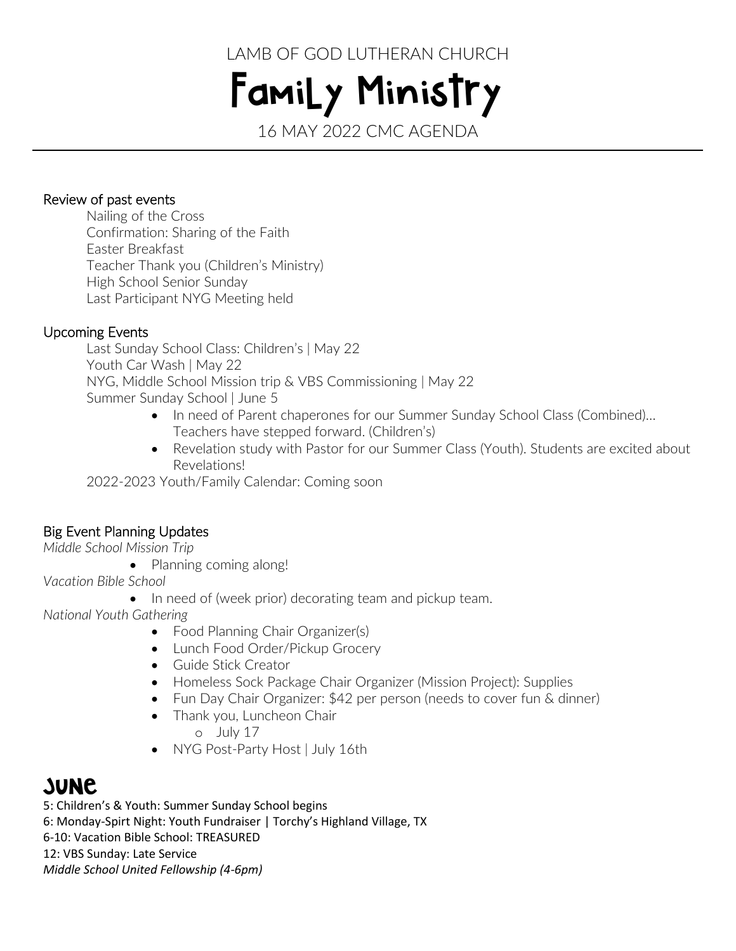LAMB OF GOD LUTHERAN CHURCH

Family Ministry 16 MAY 2022 CMC AGENDA

### Review of past events

 Nailing of the Cross Confirmation: Sharing of the Faith Easter Breakfast Teacher Thank you (Children's Ministry) High School Senior Sunday Last Participant NYG Meeting held

## Upcoming Events

Last Sunday School Class: Children's | May 22 Youth Car Wash | May 22 NYG, Middle School Mission trip & VBS Commissioning | May 22 Summer Sunday School | June 5

- In need of Parent chaperones for our Summer Sunday School Class (Combined)… Teachers have stepped forward. (Children's)
- Revelation study with Pastor for our Summer Class (Youth). Students are excited about Revelations!

2022-2023 Youth/Family Calendar: Coming soon

# Big Event Planning Updates

*Middle School Mission Trip*

• Planning coming along!

*Vacation Bible School*

• In need of (week prior) decorating team and pickup team.

*National Youth Gathering*

- Food Planning Chair Organizer(s)
- Lunch Food Order/Pickup Grocery
- Guide Stick Creator
- Homeless Sock Package Chair Organizer (Mission Project): Supplies
- Fun Day Chair Organizer: \$42 per person (needs to cover fun & dinner)
- Thank you, Luncheon Chair o July 17
- NYG Post-Party Host | July 16th

# **SUNC**

5: Children's & Youth: Summer Sunday School begins 6: Monday-Spirt Night: Youth Fundraiser | Torchy's Highland Village, TX 6-10: Vacation Bible School: TREASURED 12: VBS Sunday: Late Service *Middle School United Fellowship (4-6pm)*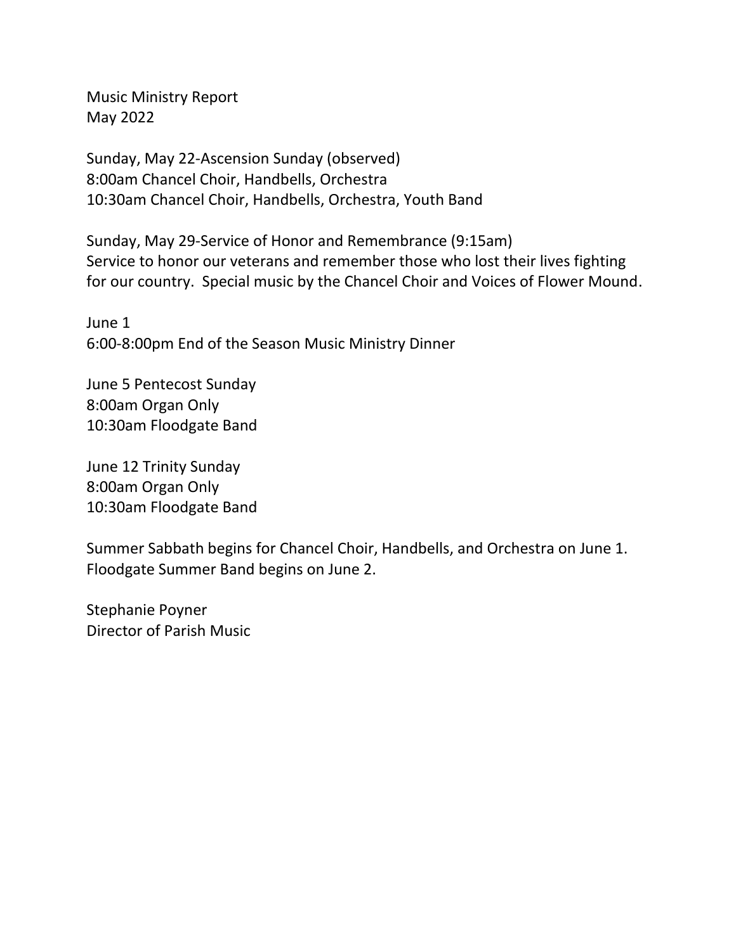Music Ministry Report May 2022

Sunday, May 22-Ascension Sunday (observed) 8:00am Chancel Choir, Handbells, Orchestra 10:30am Chancel Choir, Handbells, Orchestra, Youth Band

Sunday, May 29-Service of Honor and Remembrance (9:15am) Service to honor our veterans and remember those who lost their lives fighting for our country. Special music by the Chancel Choir and Voices of Flower Mound.

June 1 6:00-8:00pm End of the Season Music Ministry Dinner

June 5 Pentecost Sunday 8:00am Organ Only 10:30am Floodgate Band

June 12 Trinity Sunday 8:00am Organ Only 10:30am Floodgate Band

Summer Sabbath begins for Chancel Choir, Handbells, and Orchestra on June 1. Floodgate Summer Band begins on June 2.

Stephanie Poyner Director of Parish Music